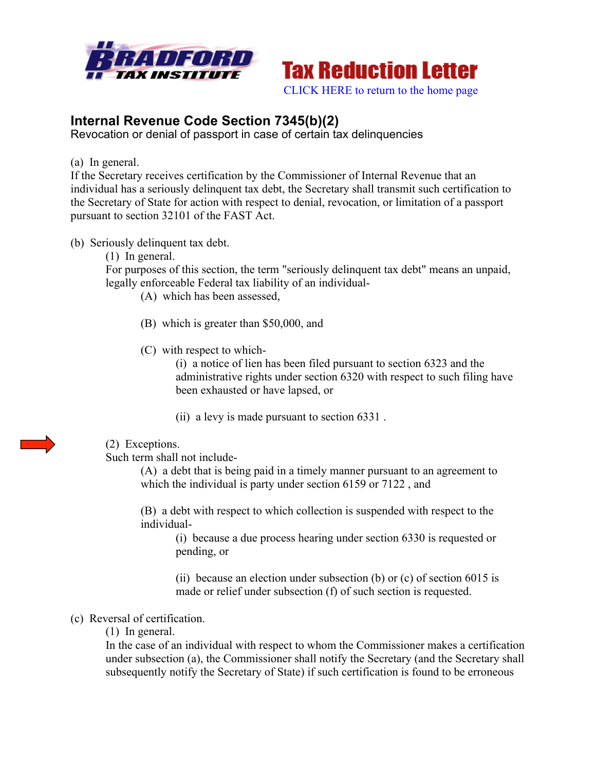



# **Internal Revenue Code Section 7345(b)(2)**

Revocation or denial of passport in case of certain tax delinquencies

(a) In general.

If the Secretary receives certification by the Commissioner of Internal Revenue that an individual has a seriously delinquent tax debt, the Secretary shall transmit such certification to the Secretary of State for action with respect to denial, revocation, or limitation of a passport pursuant to section 32101 of the FAST Act.

- (b) Seriously delinquent tax debt.
	- (1) In general.

For purposes of this section, the term "seriously delinquent tax debt" means an unpaid, legally enforceable Federal tax liability of an individual-

- (A) which has been assessed,
- (B) which is greater than \$50,000, and
- (C) with respect to which-

(i) a notice of lien has been filed pursuant to section 6323 and the administrative rights under section 6320 with respect to such filing have been exhausted or have lapsed, or

(ii) a levy is made pursuant to section 6331 .

### (2) Exceptions.

Such term shall not include-

(A) a debt that is being paid in a timely manner pursuant to an agreement to which the individual is party under section 6159 or 7122 , and

(B) a debt with respect to which collection is suspended with respect to the individual-

(i) because a due process hearing under section 6330 is requested or pending, or

(ii) because an election under subsection (b) or  $(c)$  of section 6015 is made or relief under subsection (f) of such section is requested.

### (c) Reversal of certification.

(1) In general.

In the case of an individual with respect to whom the Commissioner makes a certification under subsection (a), the Commissioner shall notify the Secretary (and the Secretary shall subsequently notify the Secretary of State) if such certification is found to be erroneous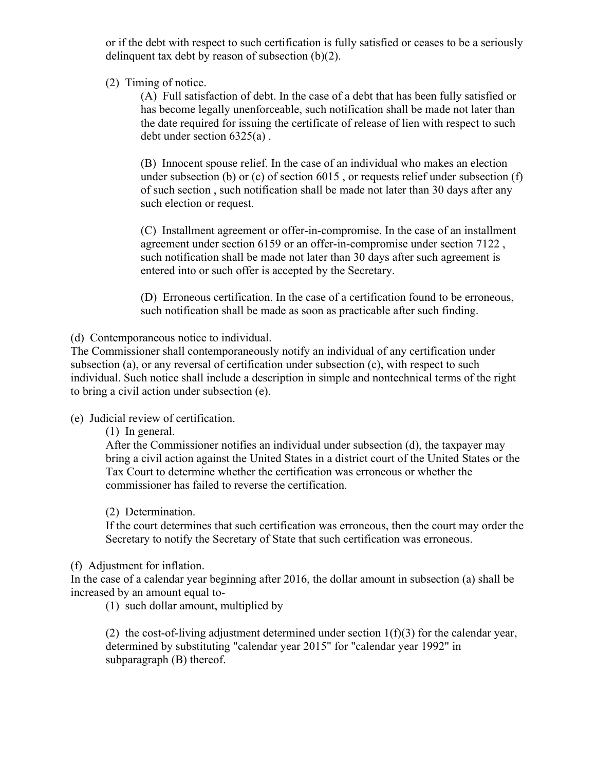or if the debt with respect to such certification is fully satisfied or ceases to be a seriously delinquent tax debt by reason of subsection (b)(2).

(2) Timing of notice.

(A) Full satisfaction of debt. In the case of a debt that has been fully satisfied or has become legally unenforceable, such notification shall be made not later than the date required for issuing the certificate of release of lien with respect to such debt under section 6325(a) .

(B) Innocent spouse relief. In the case of an individual who makes an election under subsection (b) or (c) of section 6015 , or requests relief under subsection (f) of such section , such notification shall be made not later than 30 days after any such election or request.

(C) Installment agreement or offer-in-compromise. In the case of an installment agreement under section 6159 or an offer-in-compromise under section 7122 , such notification shall be made not later than 30 days after such agreement is entered into or such offer is accepted by the Secretary.

(D) Erroneous certification. In the case of a certification found to be erroneous, such notification shall be made as soon as practicable after such finding.

(d) Contemporaneous notice to individual.

The Commissioner shall contemporaneously notify an individual of any certification under subsection (a), or any reversal of certification under subsection (c), with respect to such individual. Such notice shall include a description in simple and nontechnical terms of the right to bring a civil action under subsection (e).

(e) Judicial review of certification.

(1) In general.

After the Commissioner notifies an individual under subsection (d), the taxpayer may bring a civil action against the United States in a district court of the United States or the Tax Court to determine whether the certification was erroneous or whether the commissioner has failed to reverse the certification.

### (2) Determination.

If the court determines that such certification was erroneous, then the court may order the Secretary to notify the Secretary of State that such certification was erroneous.

### (f) Adjustment for inflation.

In the case of a calendar year beginning after 2016, the dollar amount in subsection (a) shall be increased by an amount equal to-

(1) such dollar amount, multiplied by

(2) the cost-of-living adjustment determined under section  $1(f)(3)$  for the calendar year, determined by substituting "calendar year 2015" for "calendar year 1992" in subparagraph (B) thereof.